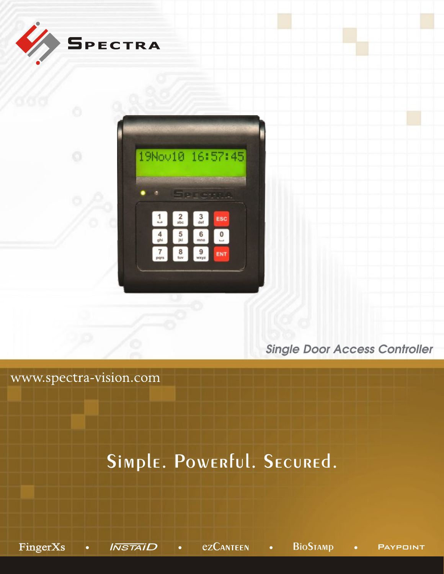

*Single Door Access Controller*

www.spectra-vision.com

## Simple. Powerful. Secured.